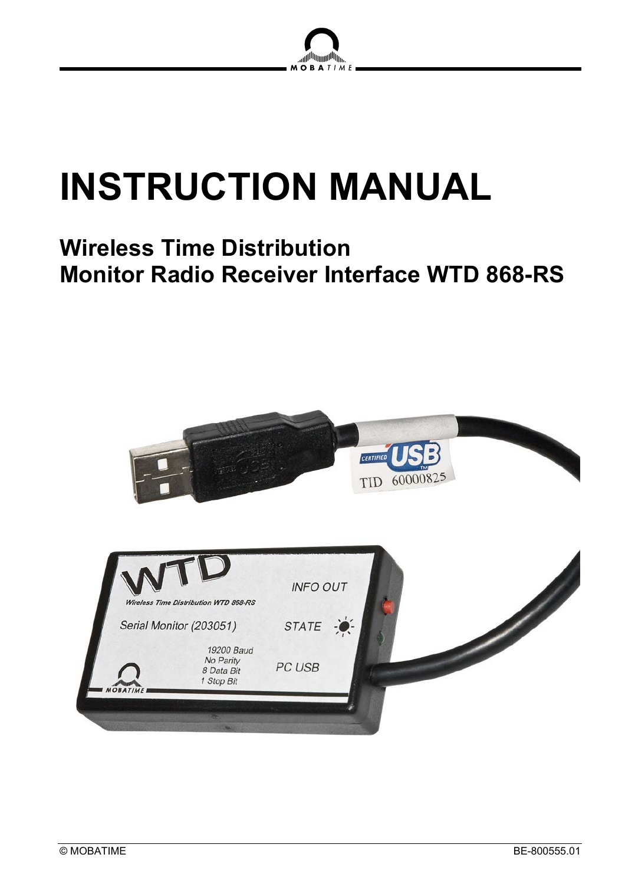

# **INSTRUCTION MANUAL**

# **Wireless Time Distribution Monitor Radio Receiver Interface WTD 868-RS**

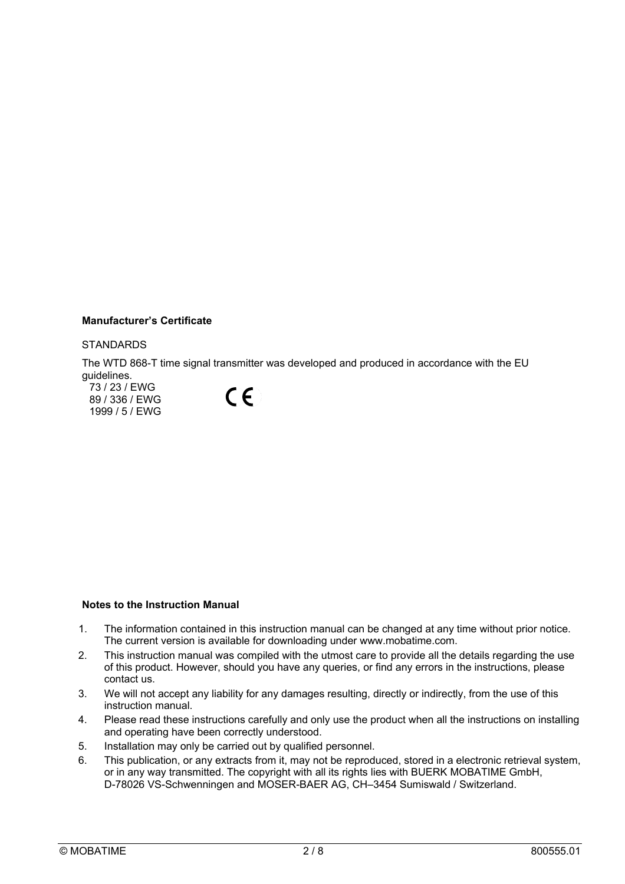#### **Manufacturer's Certificate**

#### **STANDARDS**

The WTD 868-T time signal transmitter was developed and produced in accordance with the EU guidelines.

73 / 23 / EWG 89 / 336 / EWG 1999 / 5 / EWG



#### **Notes to the Instruction Manual**

- 1. The information contained in this instruction manual can be changed at any time without prior notice. The current version is available for downloading under www.mobatime.com.
- 2. This instruction manual was compiled with the utmost care to provide all the details regarding the use of this product. However, should you have any queries, or find any errors in the instructions, please contact us.
- 3. We will not accept any liability for any damages resulting, directly or indirectly, from the use of this instruction manual.
- 4. Please read these instructions carefully and only use the product when all the instructions on installing and operating have been correctly understood.
- 5. Installation may only be carried out by qualified personnel.
- 6. This publication, or any extracts from it, may not be reproduced, stored in a electronic retrieval system, or in any way transmitted. The copyright with all its rights lies with BUERK MOBATIME GmbH, D-78026 VS-Schwenningen and MOSER-BAER AG, CH–3454 Sumiswald / Switzerland.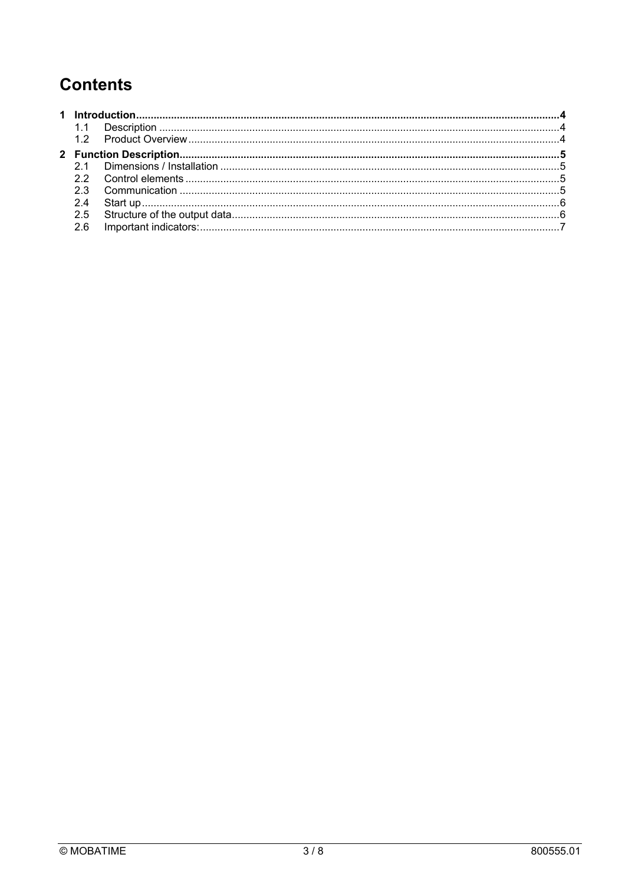# **Contents**

| 2.5 |  |  |
|-----|--|--|
| 2.6 |  |  |
|     |  |  |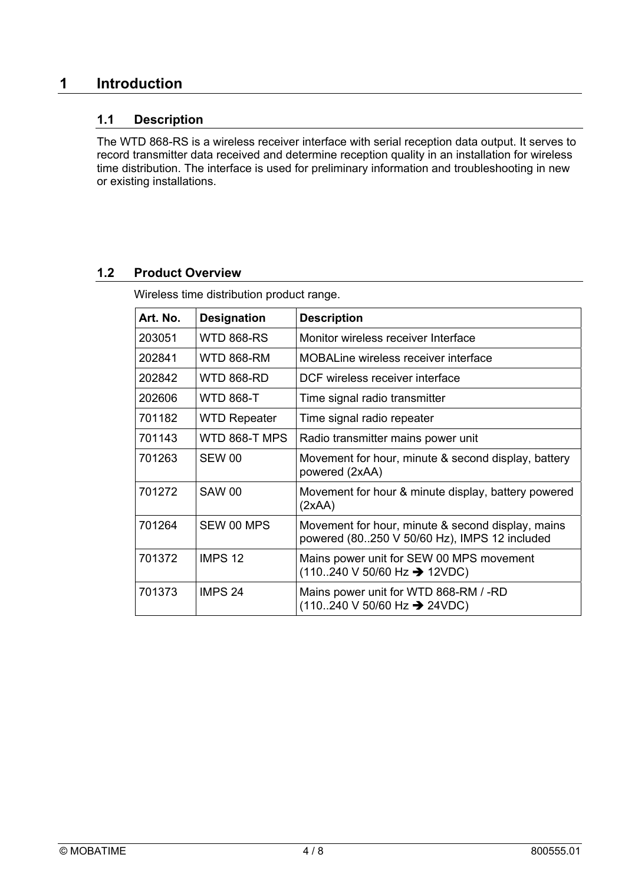# **1 Introduction**

# **1.1 Description**

The WTD 868-RS is a wireless receiver interface with serial reception data output. It serves to record transmitter data received and determine reception quality in an installation for wireless time distribution. The interface is used for preliminary information and troubleshooting in new or existing installations.

# **1.2 Product Overview**

Wireless time distribution product range.

| Art. No. | <b>Designation</b>  | <b>Description</b>                                                                                           |
|----------|---------------------|--------------------------------------------------------------------------------------------------------------|
| 203051   | WTD 868-RS          | Monitor wireless receiver Interface                                                                          |
| 202841   | WTD 868-RM          | MOBALine wireless receiver interface                                                                         |
| 202842   | WTD 868-RD          | DCF wireless receiver interface                                                                              |
| 202606   | <b>WTD 868-T</b>    | Time signal radio transmitter                                                                                |
| 701182   | <b>WTD Repeater</b> | Time signal radio repeater                                                                                   |
| 701143   | WTD 868-T MPS       | Radio transmitter mains power unit                                                                           |
| 701263   | SEW 00              | Movement for hour, minute & second display, battery<br>powered (2xAA)                                        |
| 701272   | <b>SAW 00</b>       | Movement for hour & minute display, battery powered<br>(2xAA)                                                |
| 701264   | SEW 00 MPS          | Movement for hour, minute & second display, mains<br>powered (80250 V 50/60 Hz), IMPS 12 included            |
| 701372   | IMPS <sub>12</sub>  | Mains power unit for SEW 00 MPS movement<br>$(110240 \text{ V } 50/60 \text{ Hz} \rightarrow 12 \text{VDC})$ |
| 701373   | IMPS <sub>24</sub>  | Mains power unit for WTD 868-RM / -RD<br>$(110240 \text{ V } 50/60 \text{ Hz} \rightarrow 24 \text{VDC})$    |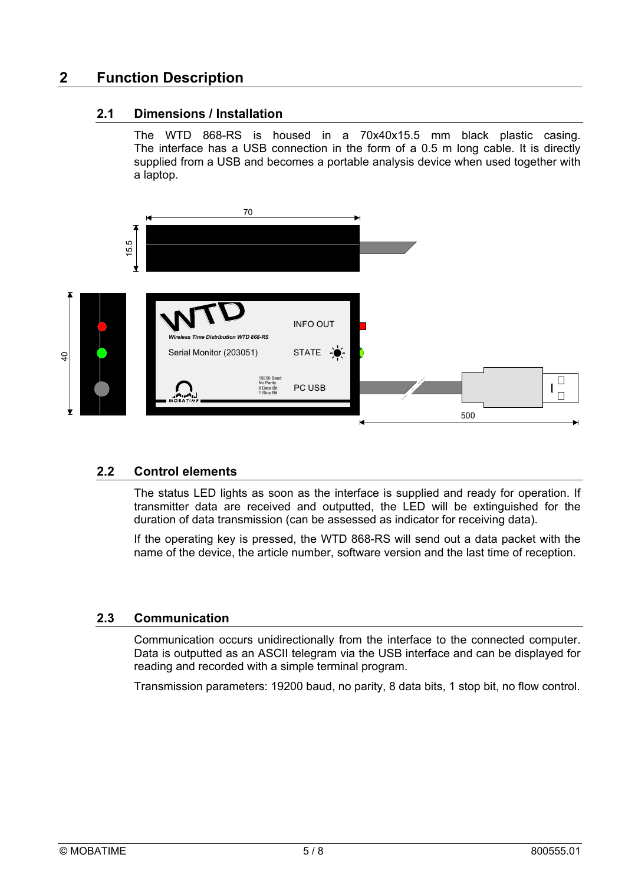# **2 Function Description**

# **2.1 Dimensions / Installation**

The WTD 868-RS is housed in a 70x40x15.5 mm black plastic casing. The interface has a USB connection in the form of a 0.5 m long cable. It is directly supplied from a USB and becomes a portable analysis device when used together with a laptop.



# **2.2 Control elements**

The status LED lights as soon as the interface is supplied and ready for operation. If transmitter data are received and outputted, the LED will be extinguished for the duration of data transmission (can be assessed as indicator for receiving data).

If the operating key is pressed, the WTD 868-RS will send out a data packet with the name of the device, the article number, software version and the last time of reception.

## **2.3 Communication**

Communication occurs unidirectionally from the interface to the connected computer. Data is outputted as an ASCII telegram via the USB interface and can be displayed for reading and recorded with a simple terminal program.

Transmission parameters: 19200 baud, no parity, 8 data bits, 1 stop bit, no flow control.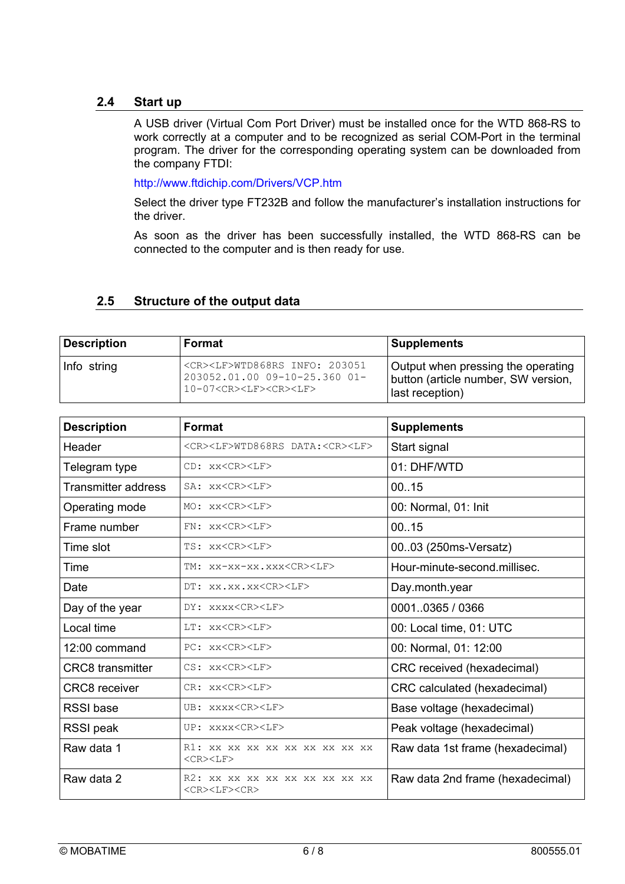## **2.4 Start up**

A USB driver (Virtual Com Port Driver) must be installed once for the WTD 868-RS to work correctly at a computer and to be recognized as serial COM-Port in the terminal program. The driver for the corresponding operating system can be downloaded from the company FTDI:

http://www.ftdichip.com/Drivers/VCP.htm

Select the driver type FT232B and follow the manufacturer's installation instructions for the driver.

As soon as the driver has been successfully installed, the WTD 868-RS can be connected to the computer and is then ready for use.

# **2.5 Structure of the output data**

| <b>Description</b> | Format                                                                                                                                  | <b>Supplements</b>                                                                           |
|--------------------|-----------------------------------------------------------------------------------------------------------------------------------------|----------------------------------------------------------------------------------------------|
| Info string        | <cr><lf>WTD868RS INFO: 203051<br/><math>203052.01.0009 - 10 - 25.36001 -</math><br/>10-07<cr><lf><cr><lf></lf></cr></lf></cr></lf></cr> | Output when pressing the operating<br>button (article number, SW version,<br>last reception) |

| <b>Description</b>         | <b>Format</b>                                                 | <b>Supplements</b>               |
|----------------------------|---------------------------------------------------------------|----------------------------------|
| Header                     | <cr><lf>WTD868RS DATA:<cr><lf></lf></cr></lf></cr>            | Start signal                     |
| Telegram type              | CD: xx <cr><lf></lf></cr>                                     | 01: DHF/WTD                      |
| <b>Transmitter address</b> | SA: xx <cr><lf></lf></cr>                                     | 0015                             |
| Operating mode             | MO: XX <cr><lf></lf></cr>                                     | 00: Normal, 01: Init             |
| Frame number               | FN: xx <cr><lf></lf></cr>                                     | 0015                             |
| Time slot                  | TS: xx <cr><lf></lf></cr>                                     | 0003 (250ms-Versatz)             |
| Time                       | TM: xx-xx-xx.xxx <cr><lf></lf></cr>                           | Hour-minute-second.millisec.     |
| Date                       | DT: XX.XX.XX <cr><lf></lf></cr>                               | Day.month.year                   |
| Day of the year            | DY: xxxx <cr><lf></lf></cr>                                   | 00010365 / 0366                  |
| Local time                 | LT: xx <cr><lf></lf></cr>                                     | 00: Local time, 01: UTC          |
| 12:00 command              | PC: xx <cr><lf></lf></cr>                                     | 00: Normal, 01: 12:00            |
| <b>CRC8</b> transmitter    | CS: xx <cr><lf></lf></cr>                                     | CRC received (hexadecimal)       |
| <b>CRC8</b> receiver       | CR: xx <cr><lf></lf></cr>                                     | CRC calculated (hexadecimal)     |
| <b>RSSI</b> base           | UB: XXXX <cr><lf></lf></cr>                                   | Base voltage (hexadecimal)       |
| RSSI peak                  | UP: XXXX <cr><lf></lf></cr>                                   | Peak voltage (hexadecimal)       |
| Raw data 1                 | R1: XX XX XX XX XX XX XX XX XX<br><cr><lf></lf></cr>          | Raw data 1st frame (hexadecimal) |
| Raw data 2                 | R2: xx xx xx xx xx xx xx xx xx<br><cr><lf><cr></cr></lf></cr> | Raw data 2nd frame (hexadecimal) |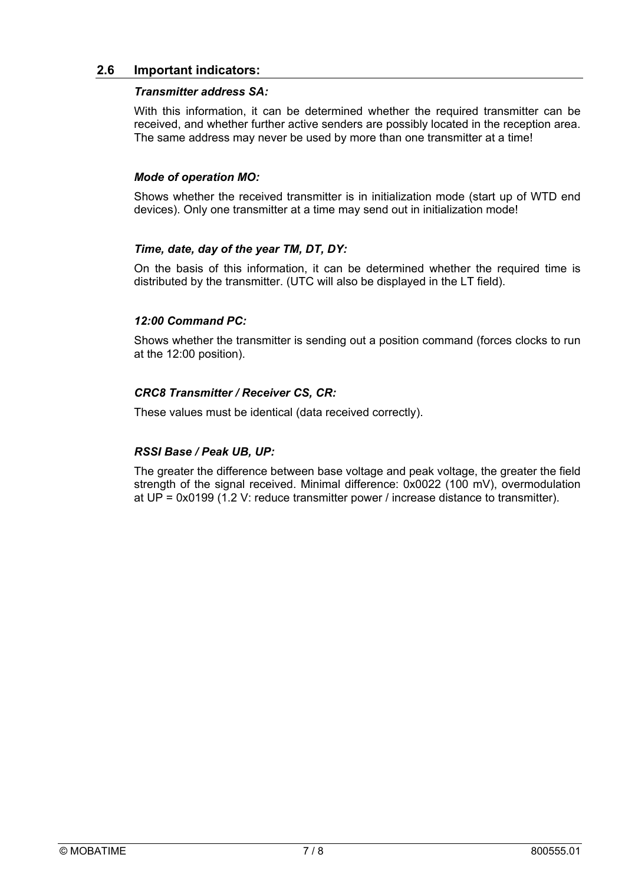### **2.6 Important indicators:**

#### *Transmitter address SA:*

With this information, it can be determined whether the required transmitter can be received, and whether further active senders are possibly located in the reception area. The same address may never be used by more than one transmitter at a time!

#### *Mode of operation MO:*

Shows whether the received transmitter is in initialization mode (start up of WTD end devices). Only one transmitter at a time may send out in initialization mode!

#### *Time, date, day of the year TM, DT, DY:*

On the basis of this information, it can be determined whether the required time is distributed by the transmitter. (UTC will also be displayed in the LT field).

### *12:00 Command PC:*

Shows whether the transmitter is sending out a position command (forces clocks to run at the 12:00 position).

### *CRC8 Transmitter / Receiver CS, CR:*

These values must be identical (data received correctly).

#### *RSSI Base / Peak UB, UP:*

The greater the difference between base voltage and peak voltage, the greater the field strength of the signal received. Minimal difference: 0x0022 (100 mV), overmodulation at UP = 0x0199 (1.2 V: reduce transmitter power / increase distance to transmitter).